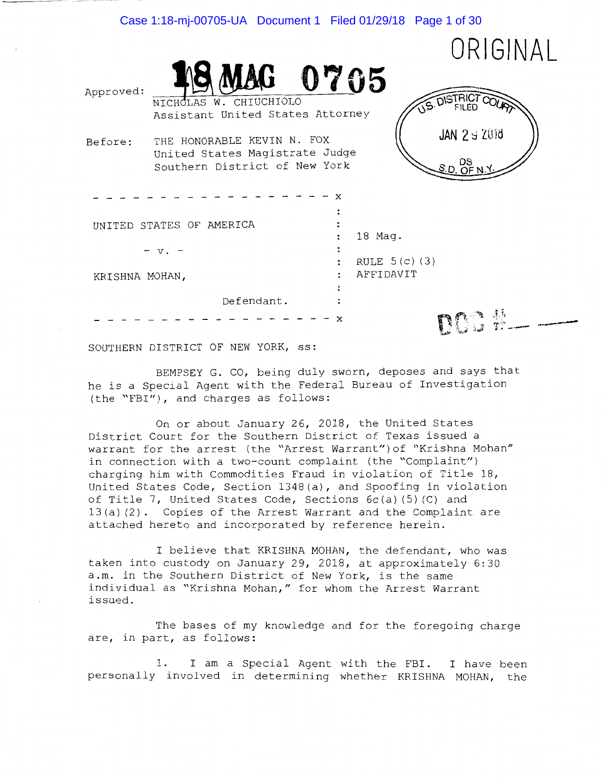#### Case 1:18-mj-00705-UA Document 1 Filed 01/29/18 Page 1 of 30



SOUTHERN DISTRICT OF NEW YORK, ss:

BEMPSEY G. CO, being duly sworn, deposes and says that he is a Special Agent with the Federal Bureau of Investigation (the "FBI"), and charges as follows:

On or about January 26, 2018, the United States District Court for the Southern District of Texas issued a warrant for the arrest (the "Arrest Warrant") of "Krishna Mohan" in connection with a two-count complaint (the "Complaint") charging him with Commodities Fraud in violation of Title 18, United States Code, Section 1348(a), and Spoofing in violation of Title 7, United States Code, Sections  $6c(a)$  (5) (C) and 13(a) (2). Copies of the Arrest Warrant and the Complaint are attached hereto and incorporated by reference herein.

I believe that KRISHNA MOHAN, the defendant, who was taken into custody on January 29, 2018, at approximately 6:30 a.m. in the Southern District of New York, is the same individual as "Krishna Mohan," for whom the Arrest Warrant issued.

The bases of my knowledge and for the foregoing charge are, in part, as follows:

1. I am a Special Agent with the FBI. I have been personally involved in determining whether KRISHNA MOHAN, the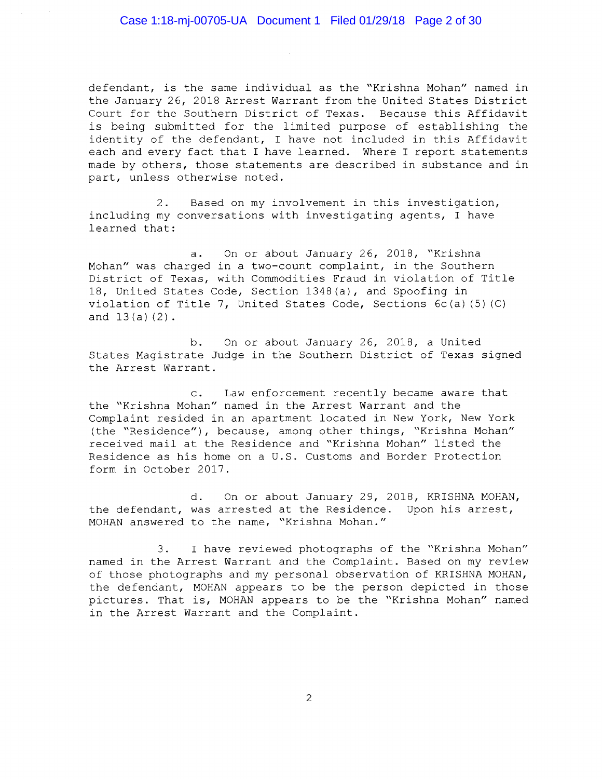defendant, is the same individual as the "Krishna Mohan" named in the January 26, 2018 Arrest Warrant from the United States District Court for the Southern District of Texas. Because this Affidavit is being submitted for the limited purpose of establishing the identity of the defendant, I have not included in this Affidavit each and every fact that I have learned. Where I report statements made by others, those statements are described in substance and in part, unless otherwise noted.

2. Based on my involvement in this investigation, including my conversations with investigating agents, I have learned that:

a. On or about January 26, 2018, "Krishna Mohan" was charged in a two-count complaint, in the Southern District of Texas, with Commodities Fraud in violation of Title 18, United States Code, Section 1348(a), and Spoofing in violation of Title 7, United States Code, Sections 6c (a) (5) (C) and 13 (a) (2).

b. On or about January 26, 2018, a United States Magistrate Judge in the Southern District of Texas signed the Arrest Warrant.

c. Law enforcement recently became aware that the "Krishna Mohan" named in the Arrest Warrant and the Complaint resided in an apartment located in New York, New York (the "Residence"), because, among other things, "Krishna Mohan" received mail at the Residence and "Krishna Mohan" listed the Residence as his home on a U.S. Customs and Border Protection form in October 2017.

d. On or about January 29, 2018, KRISHNA MOHAN, the defendant, was arrested at the Residence. Upon his arrest, MOHAN answered to the name, "Krishna Mohan."

3. I have reviewed photographs of the "Krishna Mohan" named in the Arrest Warrant and the Complaint. Based on my review of those photographs and my personal observation of KRISHNA MOHAN, the defendant, MOHAN appears to be the person depicted in those pictures. That is, MOHAN appears to be the "Krishna Mohan" named in the Arrest Warrant and the Complaint.

2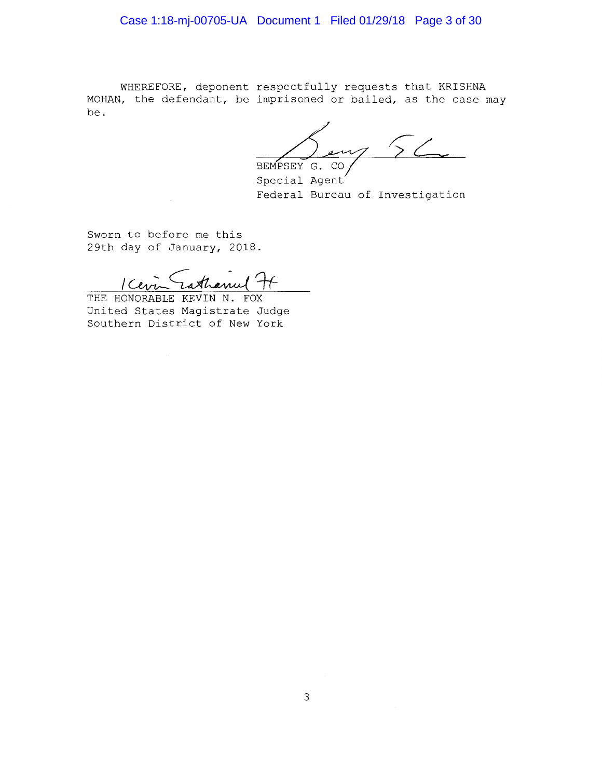WHEREFORE, deponent respectfully requests that KRISHNA MOHAN, the defendant, be imprisoned or bailed, as the case may be.

 $mg \leq C$ 

BEMPSEY G. CO Special Agent Federal Bureau of Investigation

Sworn to before me this 29th day of January, 2018.

 $\overline{\phantom{a}}$ 

1 Cevin Eathanul 77

United States Magistrate Judge Southern District of New York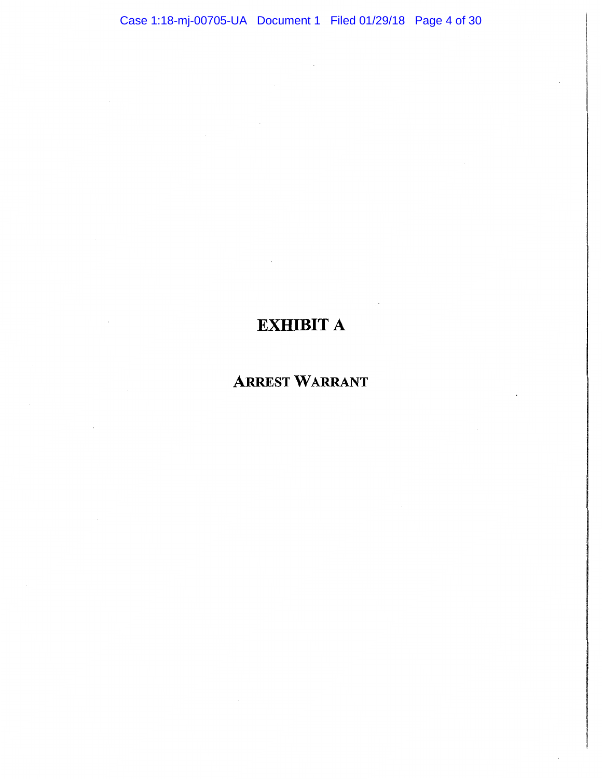### EXHIBIT A

### ARREST WARRANT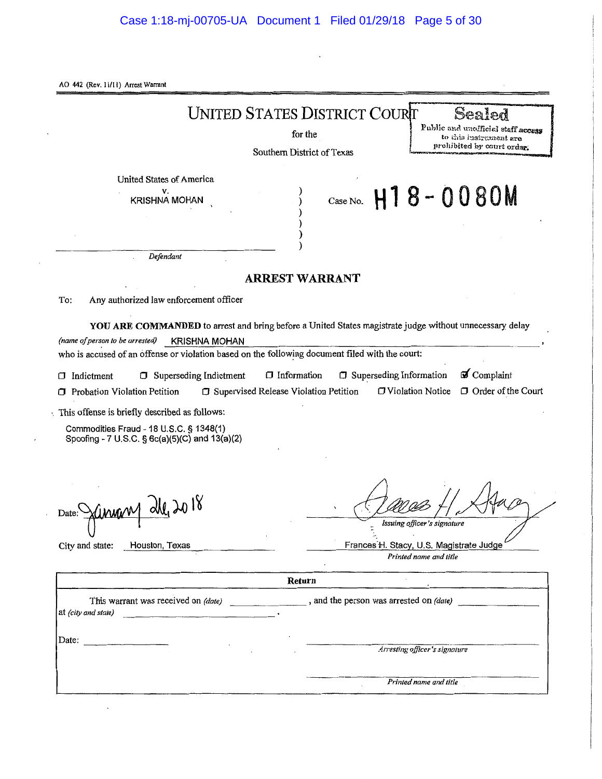### Case 1:18-mj-00705-UA Document 1 Filed 01/29/18 Page 5 of 30

 $\sim 10^{-10}$ 

AO 442 (Rev. 11/11) Arrest Warrant

 $\sim$ 

 $\ddot{\phantom{a}}$ 

|                                                                                                                                                          | Public and unafficial staff access<br>for the<br>to this histrument are<br>prohibited by court ordar.<br>Southern District of Texas                                                                        |
|----------------------------------------------------------------------------------------------------------------------------------------------------------|------------------------------------------------------------------------------------------------------------------------------------------------------------------------------------------------------------|
| United States of America<br>٧.<br><b>KRISHNA MOHAN</b>                                                                                                   | H18-0080M<br>Case No.                                                                                                                                                                                      |
| Defendant                                                                                                                                                |                                                                                                                                                                                                            |
|                                                                                                                                                          | ARREST WARRANT                                                                                                                                                                                             |
| Any authorized law enforcement officer<br>To:                                                                                                            |                                                                                                                                                                                                            |
| (name of person to be arrested)<br><b>KRISHNA MOHAN</b>                                                                                                  | YOU ARE COMMANDED to arrest and bring before a United States magistrate judge without unnecessary delay<br>who is accused of an offense or violation based on the following document filed with the court: |
| <b>3</b> Superseding Indictment<br>Indictment<br>Commodities Fraud - 18 U.S.C. § 1348(1)<br>Spoofing - 7 U.S.C. § 6c(a)(5)(C) and 13(a)(2)               | Complaint<br><b><i><u>O</u></i></b> Information<br><b>3</b> Superseding Information<br><b>3</b> Supervised Release Violation Petition<br><b>J</b> Violation Notice                                         |
| January dle 2018<br>ν<br>Houston, Texas                                                                                                                  | Issuing officer's signature<br>Frances H. Stacy, U.S. Magistrate Judge<br>Printed name and title                                                                                                           |
|                                                                                                                                                          | Return                                                                                                                                                                                                     |
|                                                                                                                                                          | This warrant was received on $(date)$ , and the person was arrested on $(date)$                                                                                                                            |
| 0.<br><b>J</b> Probation Violation Petition<br>This offense is briefly described as follows:<br>Date:<br>City and state:<br>at (city and state)<br>Date: | Order of the Court<br>Arresting officer's signature                                                                                                                                                        |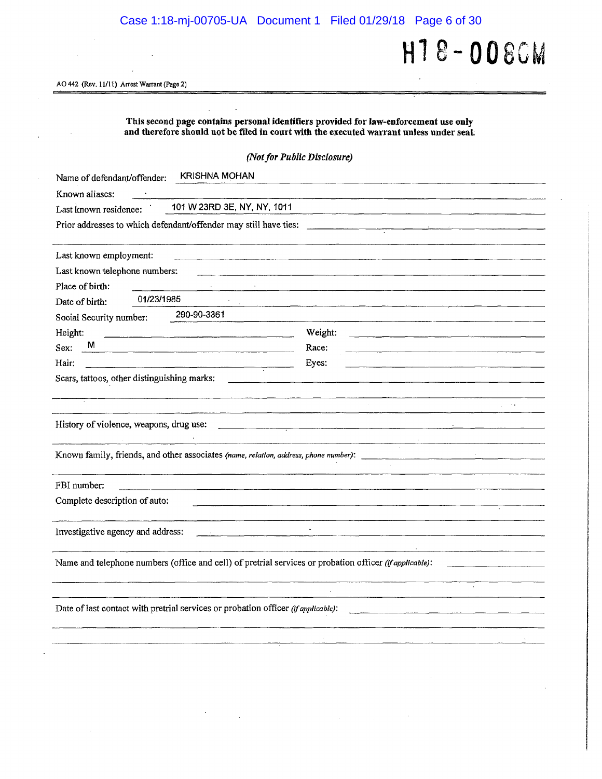# **H18-008GM**

AO 442 (Rev. 11/11) Arrest Warrant (Page 2)

 $\cdot$ 

This second page contains personal identifiers provided for law-enforcement use only and therefore should not be filed in court with the executed warrant unless under seal;

#### *(Not for Public Disclosure)*

| Name of defendant/offender:                 | <b>KRISHNA MOHAN</b>                                                                                                   |                                                                                                                 |  |
|---------------------------------------------|------------------------------------------------------------------------------------------------------------------------|-----------------------------------------------------------------------------------------------------------------|--|
| Known aliases:                              |                                                                                                                        |                                                                                                                 |  |
| Last known residence:                       | 101 W 23RD 3E, NY, NY, 1011                                                                                            |                                                                                                                 |  |
|                                             |                                                                                                                        | Prior addresses to which defendant/offender may still have ties:                                                |  |
| Last known employment:                      |                                                                                                                        |                                                                                                                 |  |
| Last known telephone numbers:               |                                                                                                                        |                                                                                                                 |  |
| Place of birth:                             |                                                                                                                        | and the state of the state of the state of the state of the state of the state of the state of the state of the |  |
| 01/23/1985<br>Date of birth:                |                                                                                                                        |                                                                                                                 |  |
| Social Security number:                     | 290-90-3361                                                                                                            |                                                                                                                 |  |
| Height:                                     |                                                                                                                        | Weight:<br>the contract of the contract of the contract of the contract of the contract of                      |  |
| M<br>Sex:                                   | <u> 1989 - Andrea Aonaichte, ann an t-Aonaichte ann an t-Aonaichte ann an t-Aonaichte ann an t-Aonaichte ann an t-</u> | Race:                                                                                                           |  |
| Hair:                                       |                                                                                                                        | Eyes:<br>the control of the control of the control of the control of the control of the control of              |  |
| Scars, tattoos, other distinguishing marks: |                                                                                                                        |                                                                                                                 |  |
|                                             | <u> 1980 - John Stein, Amerikaansk konstantinopolitik (* 1980)</u>                                                     |                                                                                                                 |  |
|                                             |                                                                                                                        | $\sim 10$                                                                                                       |  |
| History of violence, weapons, drug use:     |                                                                                                                        |                                                                                                                 |  |
|                                             |                                                                                                                        |                                                                                                                 |  |
|                                             |                                                                                                                        |                                                                                                                 |  |
|                                             |                                                                                                                        |                                                                                                                 |  |
| FBI number:                                 |                                                                                                                        |                                                                                                                 |  |
| Complete description of auto:               |                                                                                                                        | <u> 1980 - Januar Amerikaanse kommunister († 1980)</u>                                                          |  |
|                                             |                                                                                                                        |                                                                                                                 |  |
| Investigative agency and address:           |                                                                                                                        |                                                                                                                 |  |
|                                             |                                                                                                                        |                                                                                                                 |  |
|                                             | Name and telephone numbers (office and cell) of pretrial services or probation officer (if applicable):                |                                                                                                                 |  |
|                                             |                                                                                                                        |                                                                                                                 |  |
|                                             |                                                                                                                        |                                                                                                                 |  |
|                                             | Date of last contact with pretrial services or probation officer (if applicable):                                      |                                                                                                                 |  |
|                                             |                                                                                                                        |                                                                                                                 |  |
|                                             |                                                                                                                        |                                                                                                                 |  |
|                                             |                                                                                                                        |                                                                                                                 |  |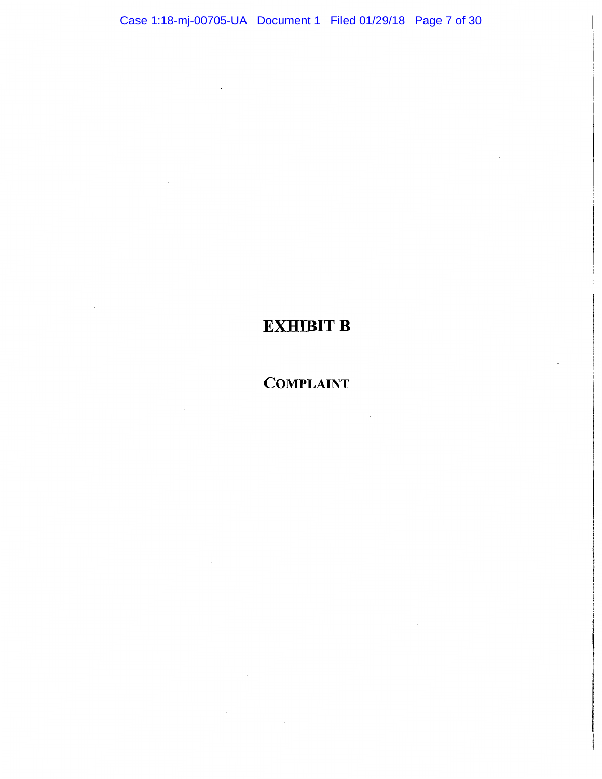Case 1:18-mj-00705-UA Document 1 Filed 01/29/18 Page 7 of 30

### **EXHIBIT B**

### **COMPLAINT**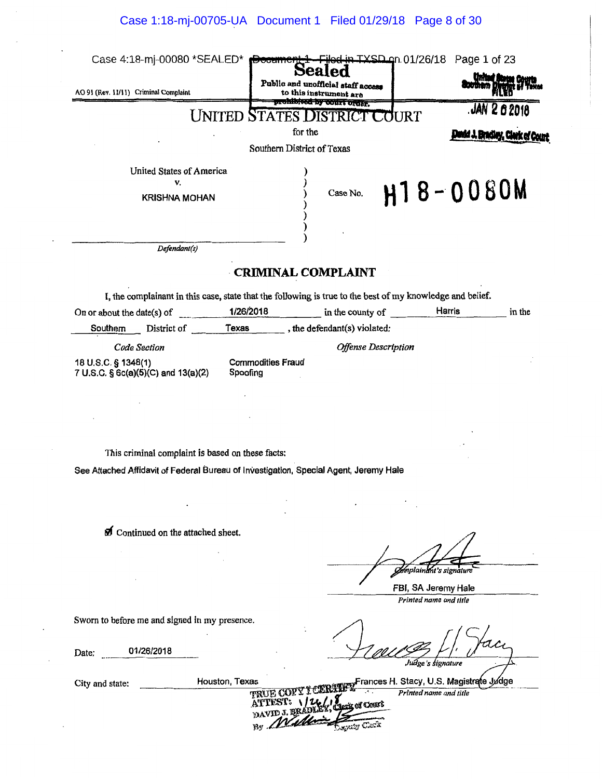### Case 1:18-mj-00705-UA Document 1 Filed 01/29/18 Page 8 of 30

| Case 4:18-mj-00080 *SEALED*                                                                               | <del>socame</del>                    | sea                                                          | led in TXSD on 01/26/18 Page 1 of 23                                     |                                  |        |  |  |  |  |
|-----------------------------------------------------------------------------------------------------------|--------------------------------------|--------------------------------------------------------------|--------------------------------------------------------------------------|----------------------------------|--------|--|--|--|--|
| AO 91 (Rev. 11/11) Criminal Complaint                                                                     |                                      | Public and unofficial staff access<br>to this instrument are |                                                                          |                                  |        |  |  |  |  |
|                                                                                                           | UNITED STATES D                      | prohibited by court order.                                   | <b>OURT</b>                                                              | JAN 2 0 2018                     |        |  |  |  |  |
|                                                                                                           |                                      | for the                                                      |                                                                          | David J. Bradley, Clark of Court |        |  |  |  |  |
|                                                                                                           |                                      | Southern District of Texas                                   |                                                                          |                                  |        |  |  |  |  |
| United States of America                                                                                  |                                      |                                                              |                                                                          |                                  |        |  |  |  |  |
| V.                                                                                                        |                                      | Case No.                                                     |                                                                          | H18-0080M                        |        |  |  |  |  |
| <b>KRISHNA MOHAN</b>                                                                                      |                                      |                                                              |                                                                          |                                  |        |  |  |  |  |
|                                                                                                           |                                      |                                                              |                                                                          |                                  |        |  |  |  |  |
| Defendant(s)                                                                                              |                                      |                                                              |                                                                          |                                  |        |  |  |  |  |
|                                                                                                           |                                      |                                                              |                                                                          |                                  |        |  |  |  |  |
| <b>CRIMINAL COMPLAINT</b>                                                                                 |                                      |                                                              |                                                                          |                                  |        |  |  |  |  |
| I, the complainant in this case, state that the following is true to the best of my knowledge and belief. |                                      |                                                              |                                                                          |                                  |        |  |  |  |  |
| On or about the date(s) of                                                                                | 1/26/2018                            | in the county of                                             |                                                                          | Harris                           | in the |  |  |  |  |
| District of<br>Southern                                                                                   |                                      | Texas , the defendant(s) violated:                           |                                                                          |                                  |        |  |  |  |  |
| Code Section                                                                                              |                                      | <b>Offense Description</b>                                   |                                                                          |                                  |        |  |  |  |  |
| 18 U.S.C. § 1348(1)<br>7 U.S.C. § 6c(a)(5)(C) and 13(a)(2)                                                | <b>Commodities Fraud</b><br>Spoofing |                                                              |                                                                          |                                  |        |  |  |  |  |
|                                                                                                           |                                      |                                                              |                                                                          |                                  |        |  |  |  |  |
|                                                                                                           |                                      |                                                              |                                                                          |                                  |        |  |  |  |  |
|                                                                                                           |                                      |                                                              |                                                                          |                                  |        |  |  |  |  |
| This criminal complaint is based on these facts:                                                          |                                      |                                                              |                                                                          |                                  |        |  |  |  |  |
| See Attached Affidavit of Federal Bureau of Investigation, Special Agent, Jeremy Hale                     |                                      |                                                              |                                                                          |                                  |        |  |  |  |  |
|                                                                                                           |                                      |                                                              |                                                                          |                                  |        |  |  |  |  |
|                                                                                                           |                                      |                                                              |                                                                          |                                  |        |  |  |  |  |
|                                                                                                           |                                      |                                                              |                                                                          |                                  |        |  |  |  |  |
| <b>Ø</b> Continued on the attached sheet.                                                                 |                                      |                                                              |                                                                          |                                  |        |  |  |  |  |
|                                                                                                           |                                      |                                                              |                                                                          |                                  |        |  |  |  |  |
|                                                                                                           |                                      |                                                              | mplainant's signature                                                    |                                  |        |  |  |  |  |
|                                                                                                           |                                      |                                                              | FBI, SA Jeremy Hale<br>Printed name and title                            |                                  |        |  |  |  |  |
|                                                                                                           |                                      |                                                              |                                                                          |                                  |        |  |  |  |  |
| Sworn to before me and signed in my presence.                                                             |                                      |                                                              |                                                                          |                                  |        |  |  |  |  |
| 01/26/2018<br>Date:                                                                                       |                                      |                                                              |                                                                          |                                  |        |  |  |  |  |
|                                                                                                           |                                      |                                                              | 's signature                                                             |                                  |        |  |  |  |  |
| City and state:                                                                                           | Houston, Texas                       |                                                              | -rances H. Stacy, U.S. Magistrate Judge<br><b>Drinted</b> name and title |                                  |        |  |  |  |  |

ATTEST: VILLE eir of Court  $Cer<sup>2</sup>$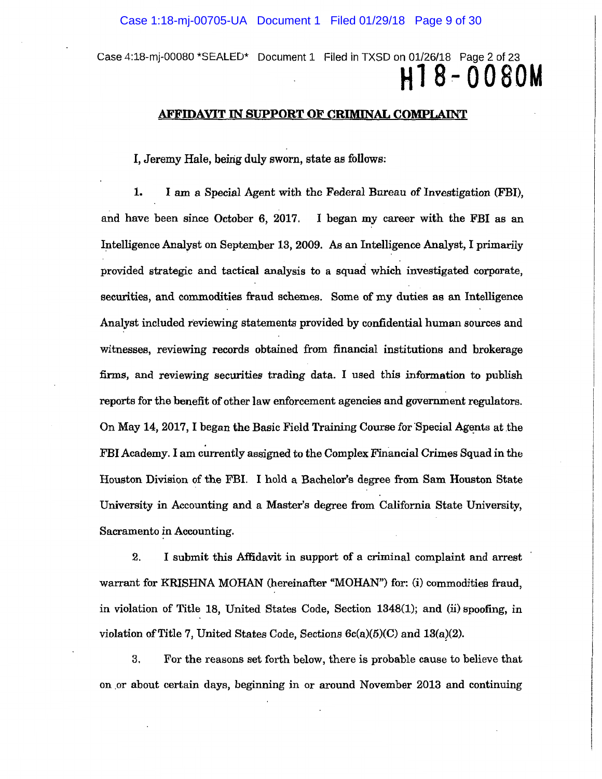## Case 4:18-mj-00080 \*SEALED\* Document 1 Filed in TXSD on 01/26/18 Page 2 of 23 H18~0080M

#### **AFFIDAVIT IN SUPPORT OF CRIMINAL COMPLAINT**

I, Jeremy Hale, being duly sworn, state as follows:

1. I am a Special Agent with the Federal Bureau of Investigation (FBI), and have been since October 6, 2017. I began my career with the FBI as an Intelligence Analyst on September 13, 2009. As an Intelligence Analyst, I primarily provided strategic and tactical analysis to a squad which investigated corporate, securities, and commodities fraud schemes. Some of my duties as an Intelligence Analyst included reviewing statements provided by confidential human sources and witnesses, reviewing records obtained from financial institutions and brokerage firms, and reviewing securities trading data. I used this information to publish reports for the benefit of other law enforcement agencies and government regulators. On May 14, 2017, I began the Basic Field Training Course for Special Agents at the FBI Academy. I am currently assigned to the Complex Financial Crimes Squad in the Houston Division of the FBI. I hold a Bachelor's degree from Sam Houston State University in Accounting and a Master's degree from California State University, Sacramento in Accounting.

2. I submit this Affidavit in support of a criminal complaint and arrest warrant for KRISHNA MOHAN (hereinafter "MOHAN") for: (i) commodities fraud, in violation of Title 18, United States Code, Section 1348(1); and (ii) spoofing, in violation of Title 7, United States Code, Sections  $6c(a)(5)(C)$  and  $13(a)(2)$ .

3. For the reasons set forth below, there is probable cause to believe that on or about certain days, beginning in or around November 2013 and continuing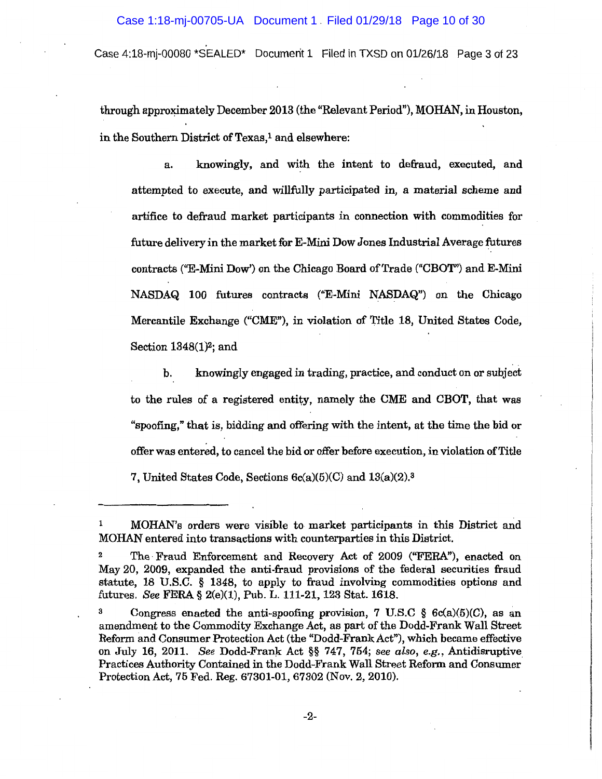Case 4:18-mj-00080 \*SEALED\* Document 1 Filed in TXSD on 01/26/18 Page 3 of 23

through approximately December 2013 (the "Relevant Period"), MOHAN, in Houston, in the Southern District of Texas,<sup>1</sup> and elsewhere:

a. knowingly, and with the intent to defraud, executed, and attempted to execute, and willfully participated in, a material scheme and artifice to defraud market participants in connection with commodities for future delivery in the market for  $E$ -Mini Dow Jones Industrial Average futures contracts ("E-Mini Dow') on the Chicago Board of Trade ("CBOT") and E-Mini NASDAQ 100 futures contracts ("E-Mini NASDAQ") on the Chicago Mercantile Exchange ("CME"), in violation of Title 18, United States Code, Section 1348(1)2; and

b. knowingly engaged in trading, practice, and conduct on or subject to the rules of a registered entity, namely the CME and CBOT, that was "spoofing," that is, bidding and offering with the intent, at the time the bid or offer was entered, to cancel the bid or offer before execution, in violation of Title

7, United States Code, Sections 6c(a)(5)(C) and 13(a)(2).3

<sup>&</sup>lt;sup>1</sup> MOHAN's orders were visible to market participants in this District and MOHAN entered into transactions with counterparties in this District.

The Fraud Enforcement and Recovery Act of 2009 ("FERA"), enacted on May 20, 2009, expanded the anti-fraud provisions of the federal securities fraud statute, 18 U.S.C. § 1348, to apply to fraud involving commodities options and futures. *See* FERA§ 2(e)(l), Pub. L. 111-21, 123 Stat. 1618.

Congress enacted the anti-spoofing provision, 7 U.S.C  $\S$  6c(a)(5)(C), as an amendment to the Commodity Exchange Act, as part of the Dodd-Frank Wall Street Reform and Consumer Protection Act (the "Dodd-Frank Act"), which became effective on July 16, 2011. *See* Dodd-Fra~ Act §§ 747, 754; *see also, e.g.,* Antidisruptive Practices Authority Contained in the Dodd-Frank Wall Street Reform and Consumer Protection Act, 75 Fed. Reg. 67301-01, 67302 (Nov. 2, 2010).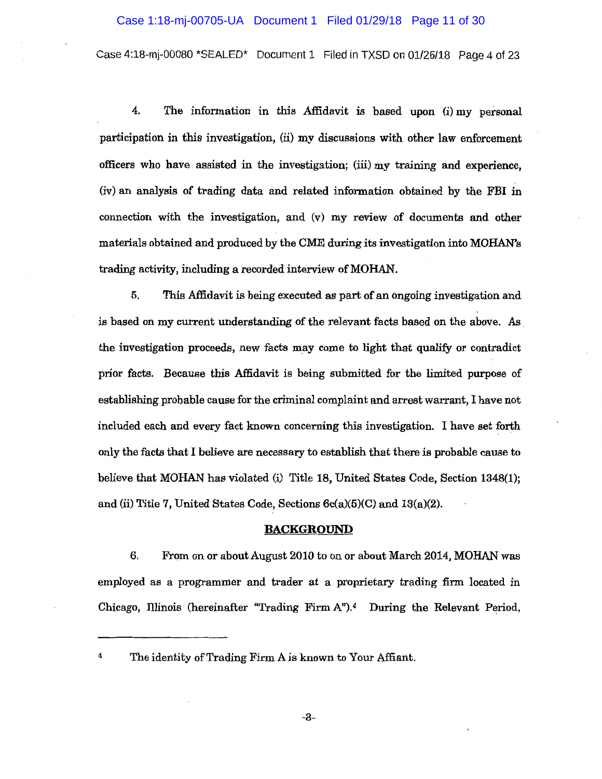#### Case 1:18-mj-00705-UA Document 1 Filed 01/29/18 Page 11 of 30

Case 4:18-mj-00080 \*SEALED\* Document 1 Filed in TXSD on 01/26/18 Page 4 of 23

4. The information in this Affidavit is based upon (i) my personal participation in this investigation, (ii) my discussions with other law enforcement officers who have assisted in the investigation; (iii) my training and experience, (iv) an analysis of trading data and related information obtained by the FBI in connection with the investigation, and (v) my review of documents and other materials obtained and produced by the CME during its investigation into MOHAN's trading activity, including a recorded interview of MOHAN.

5. This Affidavit is being executed as part of an ongoing investigation and is based on my current understanding of the relevant facts based on the above. As . the investigation proceeds, new facts may come to light that qualify or contradict prior facts. Because this Affidavit is being submitted for the limited purpose of establishing probable cause for the criminal complaint and arrest warrant, I have not included each and every fact known concerning this investigation. I have set forth only the facts that I believe are necessary to establish that there is probable cause to believe that MOHAN has violated (i) Title 18, United States Code, Section 1348(1); and (ii) Title 7, United States Code, Sections 6c(a)(5)(C) and 13(a)(2).

#### **BACKGROUND**

6. From on or about August 2010 to on or about March 2014, MOHAN was employed as a programmer and trader at a proprietary trading firm located in Chicago, Illinois (hereinafter "Trading Firm  $A$ ").<sup>4</sup> During the Relevant Period,

<sup>&</sup>lt;sup>4</sup> The identity of Trading Firm A is known to Your Affiant.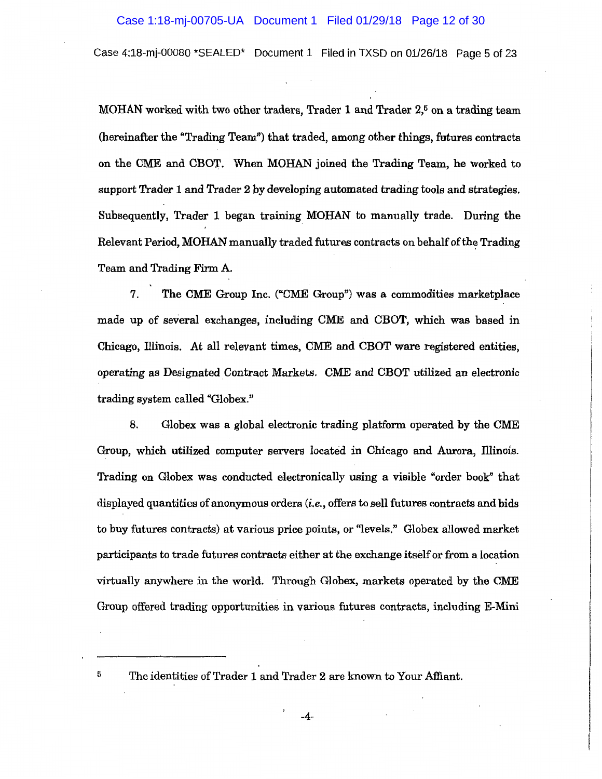Case 4:18-mj-00080 \*SEALED\* Document 1 Filed in TXSD on 01/26/18 Page 5 of 23

MOHAN worked with two other traders, Trader 1 and Trader  $2,5$  on a trading team (hereinafter the "Trading Team") that traded, among other things, futures contracts on the CME and CBOT. When MOHAN joined the Trading Team, he worked to support Trader 1 and Trader 2 by developing automated trading tools and strategies. Subsequently, Trader 1 began training MOHAN to manually trade. During the Relevant Period, MOHAN manually traded futures contracts on behalf of the Trading Team and Trading Firm A.

7. The CME Group Inc. ("CME Group") was a commodities marketplace made up of several exchanges, including CME and CBOT, which was based in Chicago, Illinois. At all relevant times, CME and CBOT ware registered entities, operating as Designated Contract Markets. CME and CBOT utilized an electronic trading system called "Globex."

8. Globex was a global electronic trading platform operated by the CME Group, which utilized computer servers located in Chicago and Aurora, Illinois. Trading on Globex was conducted electronically using a visible "order book" that displayed quantities of anonymous orders  $(i.e.,$  offers to sell futures contracts and bids to buy futures contracts) at various price points, or ''levels." Globex allowed market participants to trade futures contracts either at the exchange itself or from a location virtually anywhere in the world. Through Globex, markets operated by the CME Group offered trading opportunities in various futures contracts, including E-Mini

<sup>&</sup>lt;sup>5</sup> The identities of Trader 1 and Trader 2 are known to Your Affiant.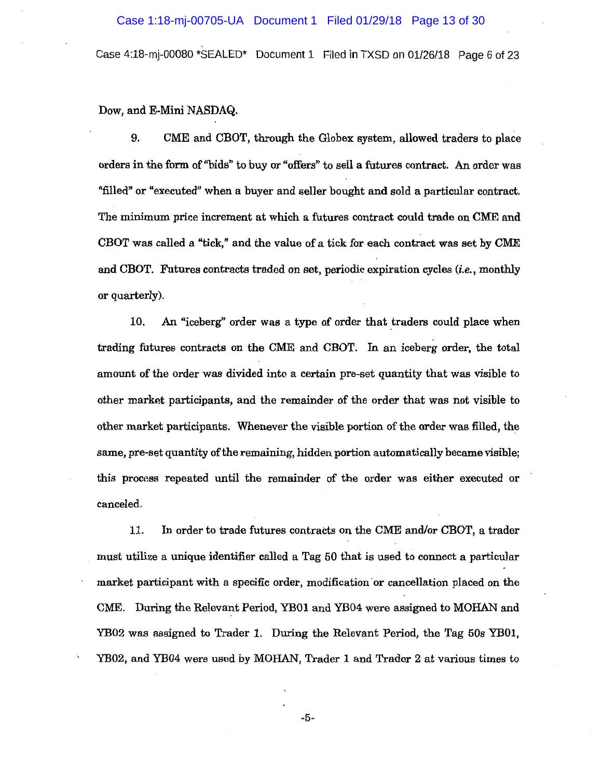Case 4:18-mj-00080 \*SEALED\* Document 1 Filed in TXSD on 01/26/18 Page 6 of 23

Dow, and E-Mini NASDAQ.

9. CME and CBOT, through the Globex system, allowed traders to place orders in the form of "bids" to buy or "offers" to sell a futures contract. An order was "filled" or "executed" when a buyer and seller bought and sold a particular contract. The minimum price increment at which a futures contract could trade on CME and CBOT was called a "tick," and the value of a tick for each contract was set by CME and CBOT. Futures contracts traded on set, periodic expiration cycles *(i.e.,* monthly or quarterly).

10. An "iceberg" order was a type of order that traders could place when trading futures contracts on the CME and CBOT. In an iceberg order, the total amount of the order was divided into a certain pre-set quantity that was visible to other market participants, and the remainder of the order that was not visible to other market participants. Whenever the visible portion of the order was filled, the same, pre-set quantity of the remaining, hidden portion automatically became visible; this process repeated until the remainder of the order was either executed or canceled.

11. In order to trade futures contracts on the CME and/or CBOT, a trader must utilize a unique identifier called a Tag 50 that is used to connect a particular market participant with a specific order, modification· or cancellation placed on the CME. During the Relevant Period, YBOl and YB04 were assigned to MOHAN and YB02 was assigned to Trader 1. During the Relevant Period, the Tag 50s YBOl, YB02, and YB04 were used by MOHAN, Trader 1 and Trader 2 at various times to

-5-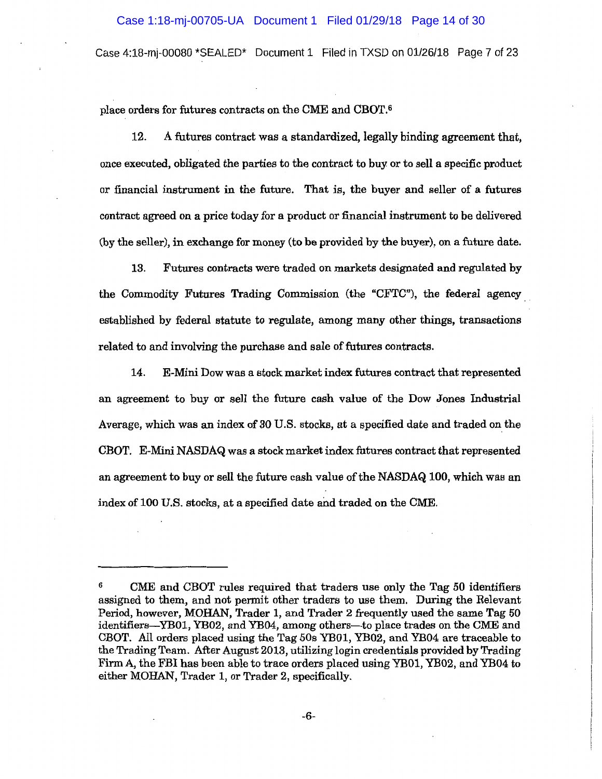Case 4:18-mj-00080 \*SEALED\* Document 1 Filed in TXSD on 01/26/18 Page 7 of 23

place orders for futures contracts on the CME and CBOT.6

12. A futures contract was a standardized, legally binding agreement that, once executed, obligated the parties to the contract to buy or to sell a specific product or financial instrument in the future. That is, the buyer and seller of a futures contract agreed on a price today for a product or financial instrument to be delivered (by the seller), in exchange for money (to be provided by the buyer), on a future date.

13. Futures contracts were traded on markets designated and regulated by the Commodity Futures Trading Commission (the "CFTC"), the federal agency established by federal statute to regulate, among many other things, transactions related to and involving the purchase and sale of futures contracts.

14. E-Mini Dow was a stock market index futures contract that represented an agreement to buy or sell the future cash value of the Dow Jones Industrial Average, which was an index of 30 U.S. stocks, at a specified date and traded on\_ the CBOT. E-Mini NASDAQ was a stock market index futures contract that represented an agreement to buy or sell the future cash value of the NASDAQ 100, which was an index of 100 U.S. stocks, at a specified date and traded on the CME.

-6-

<sup>6</sup> CME and CBOT rules required that traders use only the Tag 50 identifiers assigned to them, and not permit other traders to use them. During the Relevant Period, however, MOHAN, Trader 1, and Trader 2 frequently used the same Tag 50 identifiers-YBOl, YB02, and YB04, among others-to place trades on the CME and CBOT. All orders placed using the Tag 50s YBOl, YB02, and YB04 are traceable to the Trading Team. After August 2013, utilizing login credentials provided by Trading Firm A, the FBI has been able to trace orders placed using YBOl, YB02, and YB04 to either MOHAN, Trader 1, or Trader 2, specifically.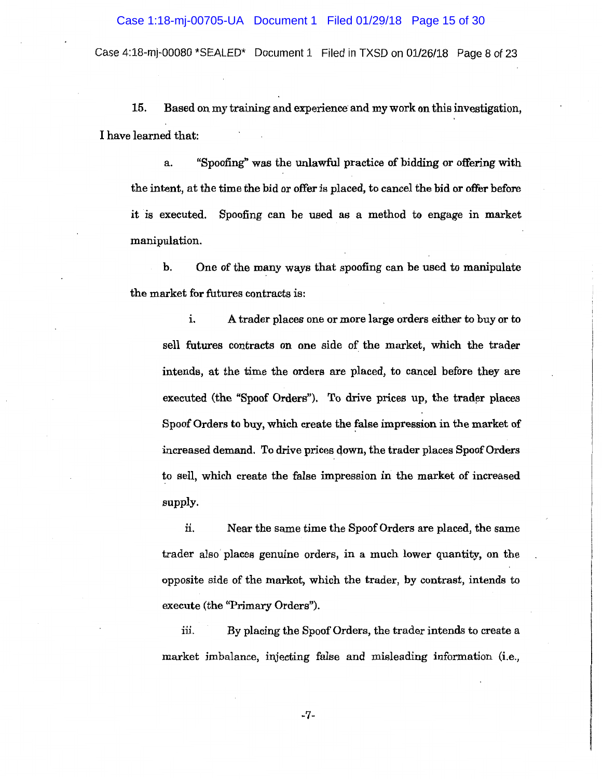Case 4:18-mj-00080 \*SEALED\* Document 1 Filed in TXSD on 01/26/18 Page 8 of 23

15. Based on my training and experience and my work on this investigation, I have learned that:

a. "Spoofing" was the unlawful practice of bidding or offering with the intent, at the time the bid or offer is placed, to cancel the bid or offer before it is executed. Spoofing can be used as a method to engage in market manipulation.

b. One of the many ways that spoofing can be used to manipulate the market for futures contracts is:

i. A trader places one or more large orders either to buy or to sell futures contracts on one side of the market, which the trader intends, at the time the orders are placed, to cancel before they are executed (the "Spoof Orders"). To drive prices up, the trader places Spoof Orders to buy, which create the false impression in the market of increased demand. To drive prices down, the trader places Spoof Orders to sell, which create the false impression in the market of increased supply.

ii. Near the same time the Spoof Orders are placed, the same trader also places genuine orders, in a much lower quantity, on the opposite side of the market, which the trader, by contrast, intends to execute (the "Primary Orders").

iii. By placing the Spoof Orders, the trader intends to create a market imbalance, injecting false and misleading information (i.e.,

~7-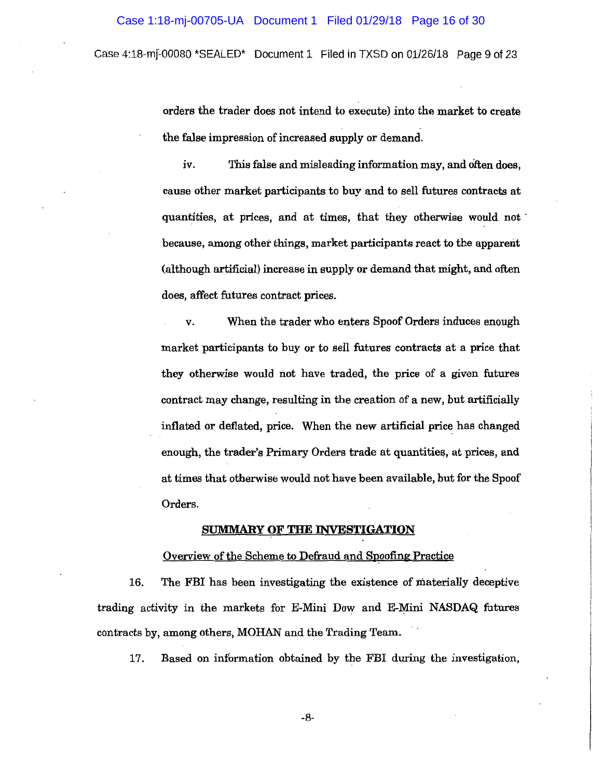Case 4:18-mf-00080 \*SEALED\* Document 1 Filed in TXSD on 01/26/18 Page 9 of 23

orders the trader does not intend to execute) into the market to create the false impression of increased supply or demand.

iv. This false and misleading information may, and often does, cause other market participants to buy and to sell futures contracts at quantities, at prices, and at times, that they otherwise would not because, among other things, market participants react to the apparent (although artificial) increase in supply or demand that might, and often does, affect futures contract prices.

v. When the trader who enters Spoof Orders induces enough market participants to buy or to sell futures contracts at a price that they otherwise would not have traded, the price of a given futures contract may change, resulting in the creation of a new, but artificially inflated or deflated, price. When the new artificial price has changed enough, the trader's Primary Orders trade at quantities, at prices, and at times that otherwise would not have been available, but for the Spoof Orders.

#### SUMMARY **OF THE INVESTIGATION**

#### Overview of the Scheme to Defraud and Spoofing Practice

16. The FBI has been investigating the existence of materially deceptive trading activity in the markets for E-Mini Dow and E-Mini NASDAQ futures contracts by, among others, MOHAN and the Trading Team.

17. Based on information obtained by the FBI during the investigation,

-8-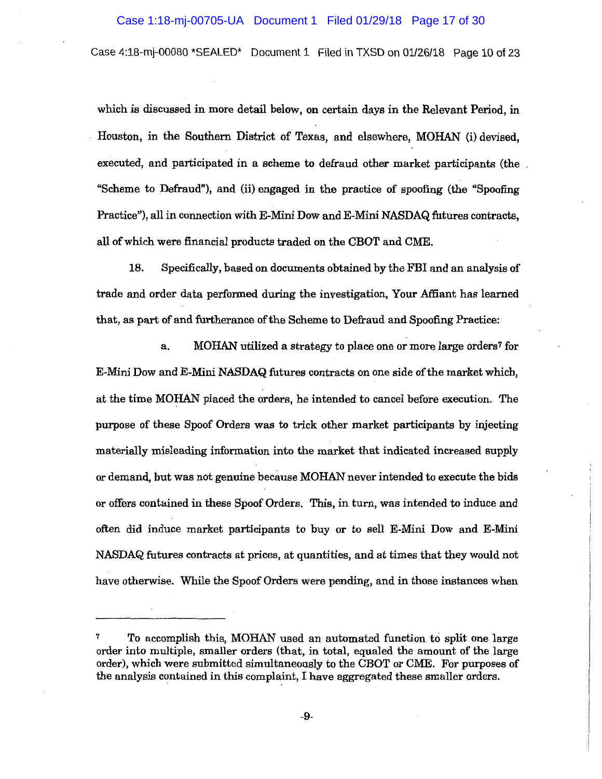Case 4:18-mj-00080 \*SEALED\* Document 1 Filed in TXSD on 01/26/18 Page 10 of 23

which is discussed in more detail below, on certain days in the Relevant Period, in Houston, in the Southern District of Texas, and elsewhere, MOHAN (i) devised, executed, and participated in a scheme to defraud other market participants (the "Scheme to Defraud"), and (ii) engaged in the practice of spoofing (the "Spoofing Practice"), all in connection with E-Mini Dow and E-Mini NASDAQ futures contracts, all of which were financial products traded on the CBOT and CME.

18. Specifically, based on documents obtained by the FBI and an analysis of trade and order data performed during the investigation, Your Affiant has learned that, as part of and furtherance of the Scheme to Defraud and Spoofing Practice:

a. MOHAN utilized a strategy to place one or more large orders7 for E-Mini Dow and E-Mini NASDAQ futures contracts on one side of the market which, at the time MOHAN placed the orders, he intended to cancel before execution. The purpose of these Spoof Orders was to trick other market participants by injecting materially misleading information into the market that indicated increased supply or demand, but was not genuine because MOHAN never intended to execute the bids or offers contained in these Spoof Orders. This, in tum, was intended to induce and often did induce market participants to buy or to sell E-Mini Dow and E-Mini NASDAQ futures contracts at prices, at quantities, and at times that they would not have otherwise. While the Spoof Orders were pending, and in those instances when

<sup>7</sup>To accomplish this, MOHAN used an automated function to split one large order into multiple, smaller orders (that, in total, equaled the amount of the large order), which were submitted simultaneously to the CBOT or CME. For purposes of the analysis contained in this complaint, I have aggregated these smaller orders.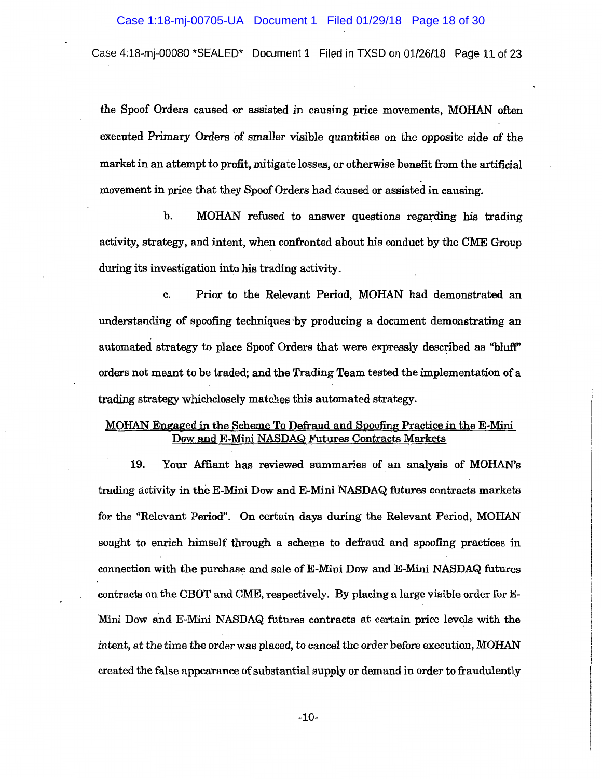Case 4:18-mj-00080 \*SEALED\* Document 1 Filed in TXSD on 01/26/18 Page 11of23

the Spoof Orders caused or assisted in causing price movements, MOHAN often executed Primary Orders of smaller visible quantities on the opposite side of the market in an attempt to profit, mitigate losses, or otherwise benefit from the artificial movement in price that they Spoof Orders had caused or assisted in causing.

b. MOHAN refused to answer questions regarding his trading activity, strategy, and intent, when confronted about his conduct by the CME Group during its investigation into his trading activity.

c. Prior to the Relevant Period, MOHAN had demonstrated an understanding of spoofing techniques by producing a document demonstrating an automated strategy to place Spoof Orders that were expressly described as "bluff" orders not meant to be traded; and the Trading Team tested the implementation of a trading strategy whichclosely matches this automated strategy.

#### MOHAN Engaged in the Scheme To Defraud and Spoofing Practice in the E-Mini Dow and E-Mini NASDAQ Futures Contracts Markets

19. Your Affiant has reviewed summaries of. an analysis of MOHAN's trading activity in the E-Mini Dow and E-Mini NASDAQ futures contracts markets for the "Relevant Period". On certain days during the Relevant Period, MOHAN sought to enrich himself through a scheme to defraud and spoofing practices in connection with the purchase and sale of E-Mini Dow and E-Mini NASDAQ futures contracts on the CBOT and CME, respectively. By placing a large visible order for E-Mini Dow and E-Mini NASDAQ futures contracts at certain price levels with the intent, at the time the order was placed, to cancel the order before execution, MOHAN created the false appearance of substantial supply or demand in order to fraudulently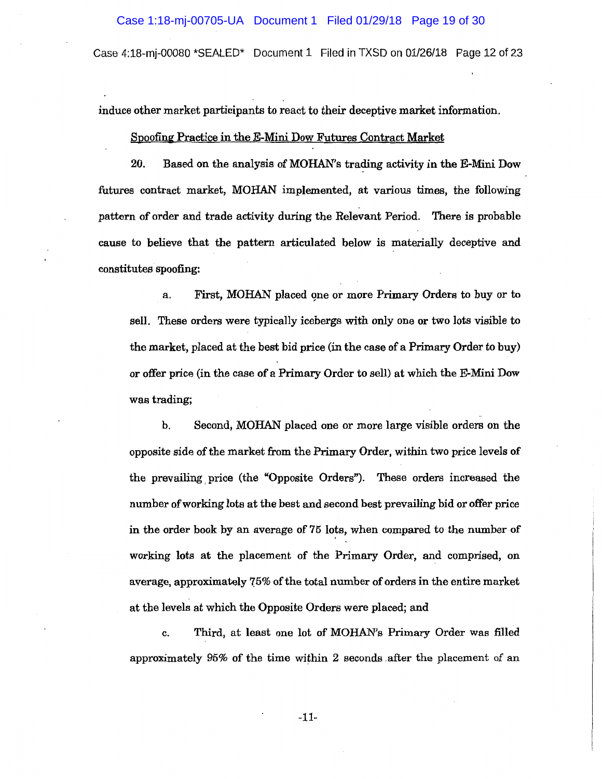Case 4:18-mj-00080 \*SEALED\* Document 1 Filed in TXSD on 01/26/18 Page 12 of 23

induce other market participants to react to their deceptive market information.

#### Spoofing Practice in the E-Mini Dow Futures Contract Market

20. Based on the analysis of MOHAN's trading activity in the E-Mini Dow futures contract market, MOHAN implemented, at various times, the following pattern of order and trade activity during the Relevant Period. There is probable cause to believe that the pattern articulated below is materially deceptive and constitutes spoofing:

a. First, MOHAN placed qne or more Primary Orders to buy or to sell. These orders were typically icebergs with only one or two lots visible to the market, placed at the best bid price (in the case of a Primary Order to buy) or offer price (in the case of a Primary Order to sell) at which the E-Mini Dow was trading;

b. Second, MOHAN placed one or more large visible orders on the opposite side of the market from the Primary Order, within two price levels of the prevailing, price (the "Opposite Orders"). These orders increased the number of working lots at the best and second best prevailing bid or offer price in the order book by an average of 75 lots, when compared to the number of working lots at the placement of the Primary Order, and comprised, on average, approximately 75% of the total number of orders in the entire market at the levels at which the Opposite Orders were placed; and

c. Third, at least one lot of MOHAN's Primary Order was filled approximately 95% of the time within 2 seconds ,after the placement of an

-11-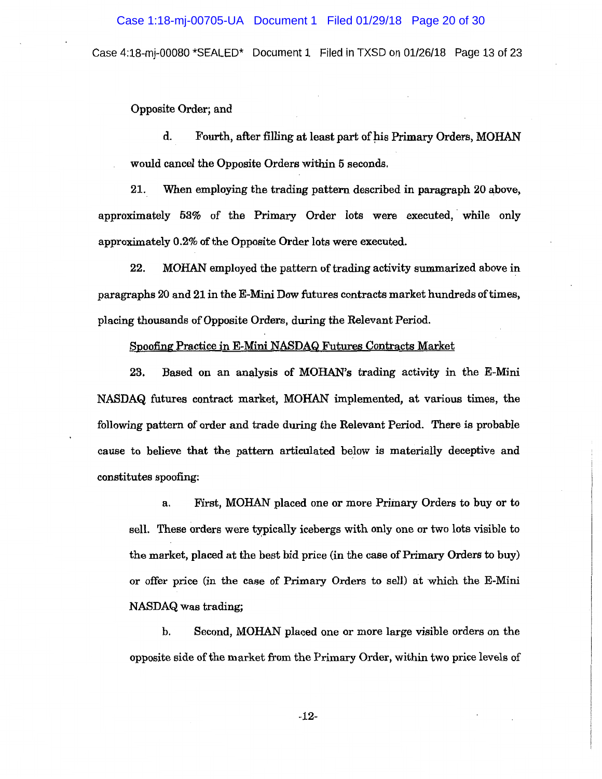Case 4:18-mj-00080 \*SEALED\* Document 1 Filed in TXSD on 01/26/18 Page 13 of 23

Opposite Order; and

d. Fourth, after filling at least part of his Primary Orders, MOHAN would cancel the Opposite Orders within 5 seconds.

21. When employing the trading pattern described in paragraph 20 above, approximately 53% of the Primary Order lots were executed, while only approximately 0.2% of the Opposite Order lots were executed.

22. MOHAN employed the pattern of trading activity summarized above in paragraphs 20 and 21 in the E-Mini Dow futures contracts market hundreds of times, placing thousands of Opposite Orders, during the Relevant Period.

#### Spoofing Practice in E-Mini NASDAQ Futures Contracts Market

23. Based on an analysis of MOHAN's trading activity in the E-Mini NASDAQ futures contract market, MOHAN implemented, at various times, the following pattern of order and trade during the Relevant Period. There is probable cause to believe that the pattern articulated befow is materially deceptive and constitutes spoofing:

a. First, MOHAN placed one or more Primary Orders to buy or to sell. These orders were typically icebergs with only one or two lots visible to the market, placed at the best bid price (in the case of Primary Orders to buy) or offer price (in the case of Primary Orders to sell) at which the E-Mini NASDAQ was trading;

b. Second, MOHAN placed one or more large visible orders on the opposite side of the market from the Primary Order, within two price levels of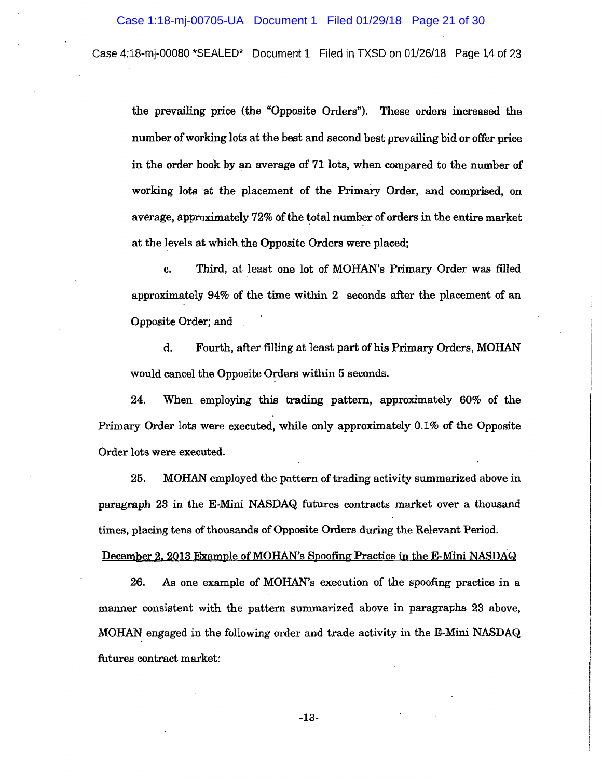Case 4:18-mj-00080 \*SEALED\* Document 1 Filed in TXSD on 01/26/18 Page 14 of 23

the prevailing price (the "Opposite Orders"). These orders increased the number of working lots at the best and second best prevailing bid or offer price in the order book by an average of 71 lots, when compared to the number of working lots at the placement of the Primary Order, and comprised, on average, approximately 72% of the total number of orders in the entire market at the levels at which the Opposite Orders were placed;

c. Third, at least one lot of MOHAN's Primary Order was filled approximately 94% of the time within 2 seconds after the placement of an Opposite Order; and .

d. Fourth, after filling at least part of his Primary Orders, MOHAN would cancel the Opposite Orders within 5 seconds.

24. When employing this trading pattern, approximately 60% of the Primary Order lots were executed, while only approximately 0.1% of the Opposite Order lots were executed.

25. MOHAN employed the pattern of trading activity summarized above in paragraph 23 in the E-Mini NASDAQ futures contracts market over a thousand times, placing tens of thousands of Opposite Orders during the Relevant Period.

December 2. 2013 Example of MOHAN's Spoofing Practice in the E-Mini NASDAQ

26. As one example of MOHAN's execution of the spoofing practice in a manner consistent with the pattern summarized above in paragraphs 23 above, MOHAN engaged in the following order and trade activity in the E-Mini NASDAQ futures contract market: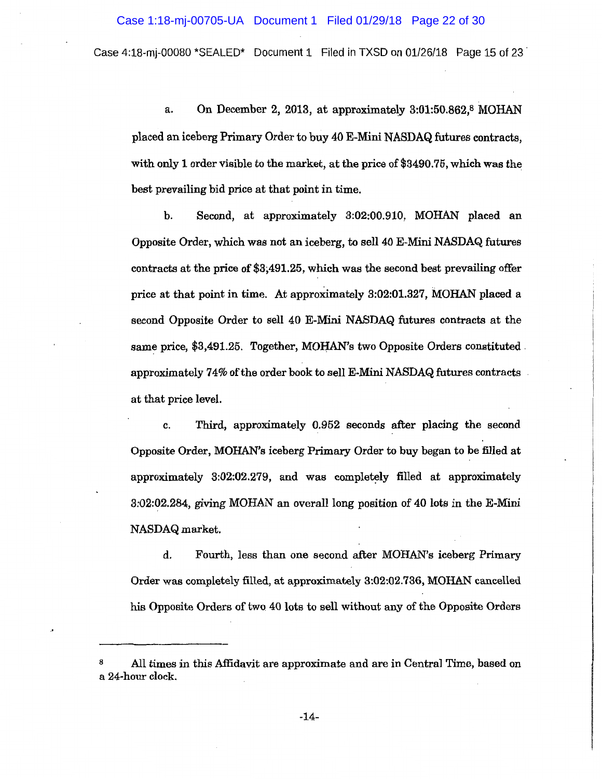Case 4:18-mj-00080 \*SEALED\* Document 1 Filed in TXSD on 01/26/18 Page 15 of 23

a. On December 2, 2013, at approximately  $3:01:50.862$ <sup>8</sup> MOHAN placed an iceberg Primary Order to buy 40 E-Mini NASDAQ futures contracts, with only 1 order visible to the market, at the price of \$3490.75, which was the best prevailing bid price at that point in time.

b. Second, at approximately 3:02:00.910, MOHAN placed an Opposite Order, which was not an iceberg, to sell 40 E-Mini NASDAQ futures contracts at the price of \$3;491.25, which was the second best prevailing offer price at that point in time. At approximately  $3:02:01.327$ , MOHAN placed a second Opposite Order to sell 40 E-Mini NASDAQ futures contracts at the same price, \$3,491.25. Together, MOHAN's two Opposite Orders constituted . approximately 74% of the order book to sell E-Mini NASDAQ futures contracts at that price level.

c. Third, approximately 0.952 seconds after placing the second Opposite Order, MOHAN's iceberg Primary Order to buy began to be filled at approximately 3:02:02.279, and was completely filled at approximately 3:02:02.284, giving MOHAN an overall long position of 40 lots in the E-Mini NASDAQ market.

d. Fourth, less than one second after MOHAN's iceberg Primary Order was completely filled, at approximately 3:02:02.736, MOHAN cancelled his Opposite Orders of two 40 lots to sell without any of the Opposite Orders

-14-

<sup>8</sup> All times in this Affidavit are approximate and are in Central Time, based on a 24-hour clock.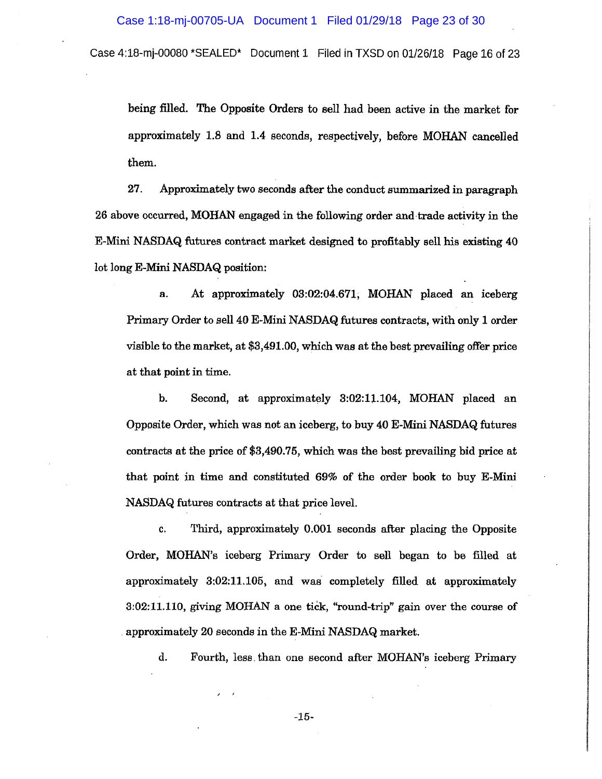Case 4:18-mj-00080 \*SEALED\* Document 1 Filed in TXSD on 01/26118 Page 16 of 23

being filled. The Opposite Orders to sell had been active in the market for approximately 1.8 and 1.4 seconds, respectively, before MOHAN cancelled them.

27. Approximately two seconds after the conduct summarized in paragraph 26 above occurred, MOHAN engaged in the following order and·trade activity in the E-Mini NASDAQ futures contract market designed to profitably sell his existing 40 lot long E-Mini NASDAQ position:

a. At approximately 03:02:04.671; MOHAN placed an iceberg Primary Order to sell 40 E-Mini NASDAQ futures contracts, with only 1 order visible to the market, at \$3,491.00, which was at the best prevailing offer price at that point in time.

b. Second, at approximately 3:02:11.104, MOHAN placed an Opposite Order, which was not an iceberg, to buy 40 E-Mini NASDAQ futures contracts at the price of \$3,490.75, which was the best prevailing bid price at that point in time and constituted 69% of the order book to buy E-Mini NASDAQ futures contracts at that price level.

c. Third, approximately 0.001 seconds after placing the Opposite Order, MOHAN's iceberg Primary Order to sell began to be filled at approximately 3:02:11.105, and was completely filled at approximately 3:02:11.110, giving MOHAN a one tick, "round-trip" gain over the course of . approximately 20 seconds in the E-Mini NASDAQ market.

d. Fourth, less. than one second after MOHAN's iceberg Primary

-15-

I I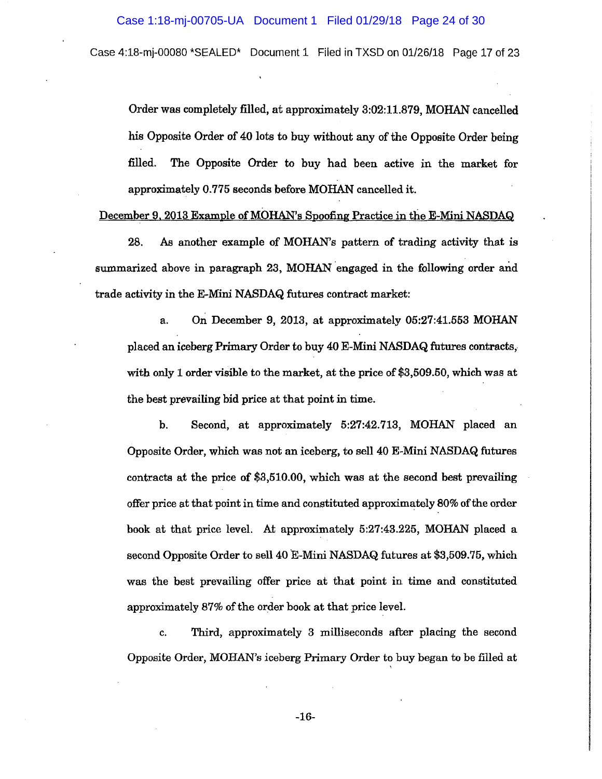Case 4:18-mj-00080 \*SEALED\* Document 1 Filed in TXSD on 01/26/18 Page 17 of 23

Order was completely filled, at approximately 3:02:11.879, MOHAN cancelled his Opposite Order of 40 lots to buy without any of the Opposite Order being filled. The Opposite Order to buy had been active in the market for approximately 0.775 seconds before MOHAN cancelled it.

#### December 9. 2013 Example of MOHAN's Spoofing Practice in the E-Mini NASDAQ

28. AB another example of MOHAN's pattern of trading activity that is summarized above in paragraph 23, MOHAN engaged in the following order and trade activity in the E-Mini NASDAQ futures contract market:

a. On December 9, 2013, at approximately 05:27:41.553 MOHAN placed an iceberg Primary Order to buy 40 E-Mini NASDAQ futures contracts, with only 1 order visible to the market, at the price of \$3,509.50, which was at the best prevailing bid price at that point in time.

b. Second, at approximately 5:27:42. 713, MOHAN placed an Opposite Order, which was not an iceberg, to sell 40 E-Mini NASDAQ futures contracts at the price of \$3,510.00, which was at the second best prevailing offer price at that point in time and constituted approximately 80% of the order book at that price level. At approximately 5:27:43.225, MOHAN placed a second Opposite Order to sell 40 E-Mini NASDAQ futures at \$3,509.75, which was the best prevailing offer price at that point in time and constituted approximately 87% of the order book at that price level.

c. Third, approximately 3 milliseconds after placing the second Opposite Order, MOHAN's iceberg Primary Order to buy began to be filled at 1

-16-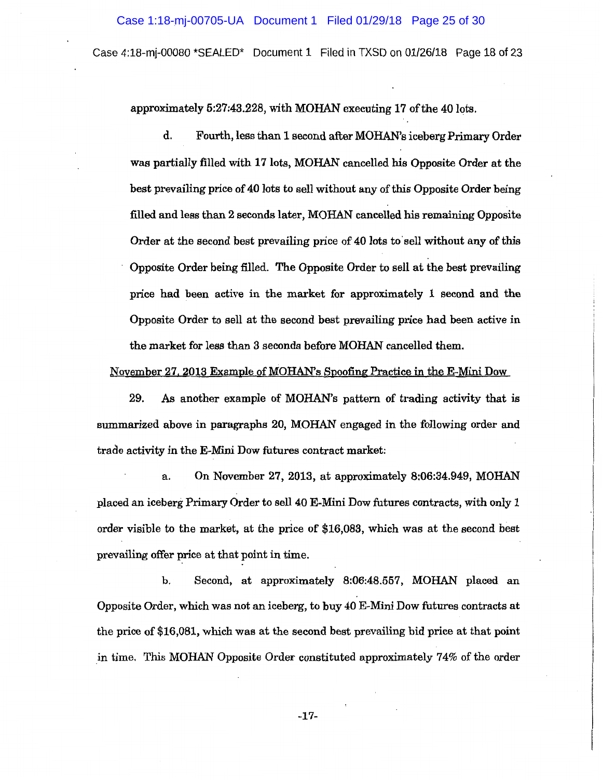Case 4:18-mj-00080 \*SEALED\* Document 1 Filed in TXSD on 01/26/18 Page 18 of 23

approximately 5:27:43.228, with MOHAN executing 17 of the 40 lots.

d. Fourth, less than 1 second after MOHAN's iceberg Primary Order was partially filled with 17 lots, MOHAN cancelled his Opposite Order at the best prevailing price of 40 lots to sell without any of this Opposite Order being filled and less than 2 seconds later, MOHAN cancelled his remaining Opposite Order at the second best prevailing price of 40 lots to sell without any of this Opposite Order being filled. The Opposite Order to sell at the best prevailing price had been active in the market for approximately 1 second and the Opposite Order to sell at the second best prevailing price had been active in the market for less than 3 seconds before MOHAN cancelled them.

#### November 27, 2013 Example of MOHAN's Spoofing Practice in the E-Mini Dow

29. As another example of MOHAN's pattern of trading activity that is summarized above in paragraphs 20, MOHAN engaged in the following order and trade activity in the E-Mini Dow futures contract market:

a. On November 27, 2013, at approximately 8:06:34.949, MOHAN placed an iceberg Primary Order to sell 40 E-Mini Dow futures contracts, with only 1 order visible to the market, at the price of \$16,083, which was at the second best prevailing offer price at that point in time.

b. Second, at approximately 8:06:48.557, MOHAN placed an Opposite Order, which was not an iceberg, to buy 40 E-Mini Dow futures contracts at the price of \$16,081, which was at the second best prevailing bid price at that point in time. This MOHAN Opposite Order constituted approximately 74% of the order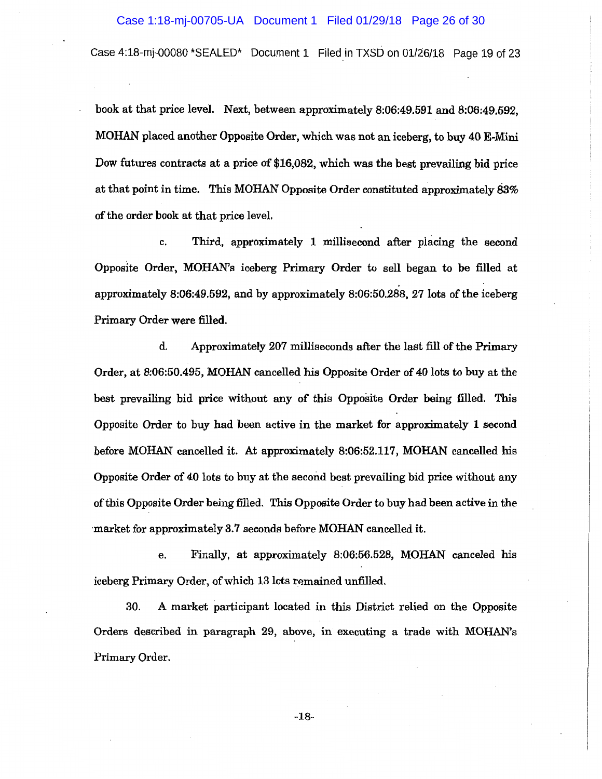Case 4:18-mj-00080 \*SEALED\* Document 1 Filed in TXSD on 01/26/18 Page 19 of 23

book at that price level. Next, between approximately 8:06:49.591 and 8:06:49.592, MOHAN placed another Opposite Order, which was not an iceberg, to buy 40 E-Mini Dow futures contracts at a price of \$16,082, which was the best prevailing bid price at that point in time. This MOHAN Opposite Order constituted approximately 83% of the order book at that price level.

c. Third, approximately 1 millisecond after placing the second Opposite Order, MOHAN's iceberg Primary Order to sell began to be filled at approximately 8:06:49.592, and by approximately 8:06:50.288, 27 lots of the iceberg Primary Order were filled.

d. Approximately 207 milliseconds after the last fill of the Primary Order, at 8:06:50.495, MOHAN cancelled his Opposite Order of 40 lots to buy at the best prevailing bid price without any of this Opposite Order being filled. This Opposite Order to buy had been active in the market for approximately 1 second before MOHAN cancelled it. At approximately 8:06:52.117, MOHAN cancelled his Opposite Order of 40 lots to buy at the second best prevailing bid price without any of this Opposite Order being filled. This Opposite Order to buy had been active in the ·market for approximately 3.7 seconds before MOHAN cancelled it.

e. Finally, at approximately 8:06:56.528, MOHAN canceled his iceberg Primary Order, ofwhich 13 lots remained unfilled.

30. A market participant located in this District relied on the Opposite Orders described in paragraph 29, above, in executing a trade with MOHAN's Primary Order.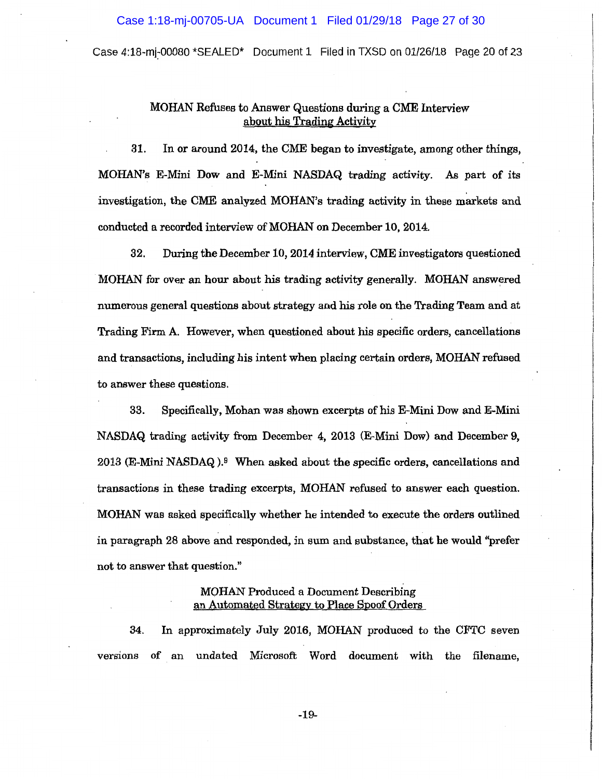Case 4:18-mj~00080 \*SEALED\* Document 1 Filed in TXSD on 01/26/18 Page 20 of 23

#### MOHAN Refuses to Answer Questions during a CME Interview about his Trading Activity

31. In or around 2014, the CME began to investigate, among other things, MOHAN's E-Mini Dow and E-Mini NASDAQ trading activity. As part of its investigation, the CME analyzed MOHAN's trading activity in these markets and conducted a recorded interview of MOHAN on December 10, 2014.

32. During the December 10, 2014 interview, CME investigators questioned MOHAN for over an hour about his trading activity generally. MOHAN answered numerous general questions about strategy and his role on the Trading Team and at Trading Firm A. However, when questioned about his specific orders, cancellations and transactions, including his intent when placing certain orders, MOHAN refused to answer these questions.

33. Specifically, Mohan was shown excerpts of his E-Mini Dow and E-Mini NASDAQ trading activity from December 4, 2013 CE-Mini Dow) and December 9, 2013 (E-Mini NASDAQ ).9 When asked about the specific orders, cancellations and transactions in these trading excerpts, MOHAN refused to answer each question. MOHAN was asked specifically whether he intended to execute the orders outlined in paragraph 28 above and responded, in sum and substance, that he would "prefer not to answer that question.''

#### MOHAN Produced a Document Describing an Automated Strategy to Place Spoof Orders

34. In approximately July 2016, MOHAN produced to the CFTC seven versions of an undated Microsoft Word document with the filename,

-19-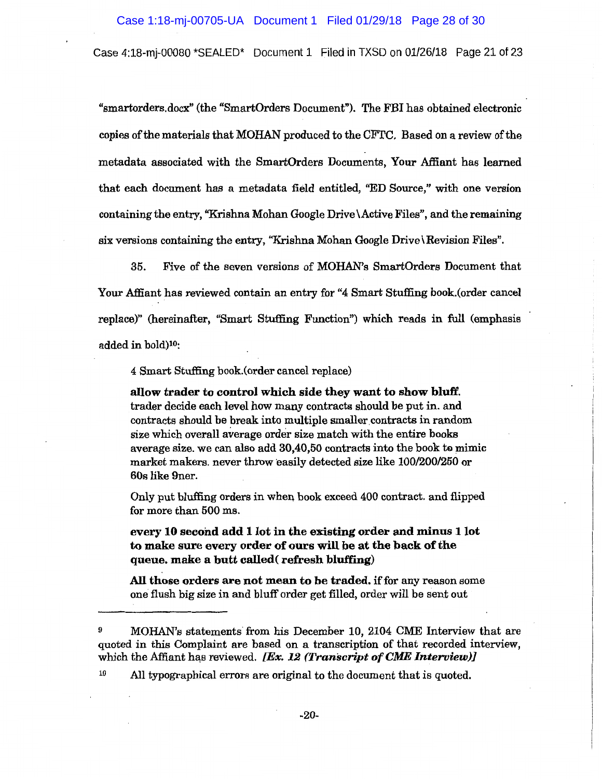Case 4:18-mj-00080 \*SEALED\* Document 1 Filed in TXSD on 01/26/18 Page 21 of 23

"smartorders.docx" (the "SmartOrders Document"). The FBI has obtained electronic copies of the materials that MOHAN produced to the CFTC. Based on a review of the metadata associated with the SmartOrders Documents, Your Affiant has learned that each document has a metadata field entitled, "ED Source," with one version containing the entry, "Krishna Mohan Google Drive \Active Files", and the remaining six versions containing the entry, "Krishna Mohan Google Drive\Revision Files".

35. Five of the seven versions of MOHAN's SmartOrders Document that Your Affiant has reviewed contain an entry for "4 Smart Stuffing book.(order cancel replace)" (hereinafter, "Smart Stuffing Function") which reads in full (emphasis added in bold)<sup>10</sup>:

4 Smart Stuffing book.(order cancel replace)

allow trader to control which side they want to show bluff. trader decide each level how many contracts should be put in. and contracts should be break into multiple smaller.contracts in random size which overall average order size match with the entire books average size. we can also add 30,40,50 contracts into the book to mimic market makers. never throw easily detected size like 100/200/250 or 60s like 9ner.

Only put bluffing orders in when book exceed 400 contract. and flipped for more than 500 ms.

every 10 second add 1 lot in the existing order and minus 1 lot to make sure every order of ours will be at the back of the queue. make a butt called( refresh bluffing)

All those orders are not mean to be traded. if for any reason some one flush big size in and bluff order get filled, order will be sent out

9 MOHAN's statements· from his December 10, 2104 CME Interview that are quoted in this Complaint are based on a transcription of that recorded interview, which the Affiant has reviewed. *[Ex. 12 (Transcript of CME Interview)]* 

10 All typographical errors are original to the document that is quoted.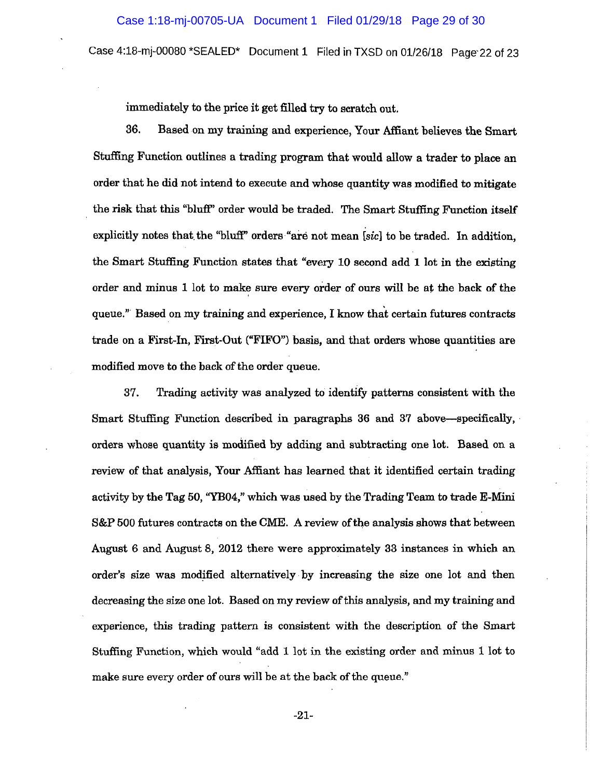Case 4:18-mj-00080 \*SEALED\* Document 1 Filed in TXSD on 01/26/18 Page·22 of 23

immediately to the price it get filled try to scratch out.

36. Based on my training and experience, Your Affiant believes the Smart Stuffing Function outlines a trading program that would allow a trader to place an order that he did not intend to execute and whose quantity was modified to mitigate the risk that this "bluff' order would be traded. The Smart Stuffing Function itself explicitly notes that the "bluff" orders "are not mean [sic] to be traded. In addition, the Smart Stuffing Function states that "every 10 second add 1 lot in the existing order and minus 1 lot to make sure every order of ours will be at the back of the queue."' Based on my training and experience, I know that certain futures contracts trade on a First-In, First-Out ("FIFO") basis, and that orders whose quantities are modified move to the back of the order queue.

37. Trading activity was analyzed to identify patterns consistent with the Smart Stuffing Function described in paragraphs 36 and 37 above-specifically, orders whose quantity is modified by adding and subtracting one lot. Based on a review of that analysis, Your Affiant has learned that it identified certain trading activity by the Tag 50, "YB04," which was used by the Trading Team to trade E-Mini S&P 500 futures contracts on the CME. A review of the analysis shows that between August 6 and August 8, 2012 there were approximately 33 instances in which an order's size was modified alternatively by increasing the size one lot and then decreasing the size one lot. Based on my review of this analysis, and my training and experience, this trading pattern is consistent with the description of the Smart Stuffing Function, which would "add 1 lot in the existing order and minus 1 lot to make sure every order of ours will be at the back of the queue."

-21-